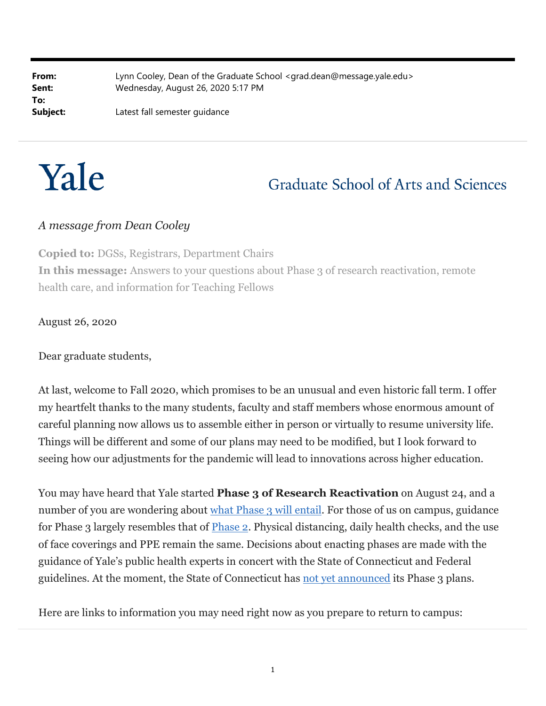| From:    | Lynn Cooley, Dean of the Graduate School <grad.dean@message.yale.edu></grad.dean@message.yale.edu> |
|----------|----------------------------------------------------------------------------------------------------|
| Sent:    | Wednesday, August 26, 2020 5:17 PM                                                                 |
| To:      |                                                                                                    |
| Subject: | Latest fall semester guidance                                                                      |



# **Graduate School of Arts and Sciences**

#### *A message from Dean Cooley*

**Copied to:** DGSs, Registrars, Department Chairs **In this message:** Answers to your questions about Phase 3 of research reactivation, remote health care, and information for Teaching Fellows

August 26, 2020

Dear graduate students,

At last, welcome to Fall 2020, which promises to be an unusual and even historic fall term. I offer my heartfelt thanks to the many students, faculty and staff members whose enormous amount of careful planning now allows us to assemble either in person or virtually to resume university life. Things will be different and some of our plans may need to be modified, but I look forward to seeing how our adjustments for the pandemic will lead to innovations across higher education.

You may have heard that Yale started **Phase 3 of Research Reactivation** on August 24, and a number of you are wondering about what Phase 3 will entail. For those of us on campus, guidance for Phase 3 largely resembles that of **Phase 2**. Physical distancing, daily health checks, and the use of face coverings and PPE remain the same. Decisions about enacting phases are made with the guidance of Yale's public health experts in concert with the State of Connecticut and Federal guidelines. At the moment, the State of Connecticut has not yet announced its Phase 3 plans.

Here are links to information you may need right now as you prepare to return to campus: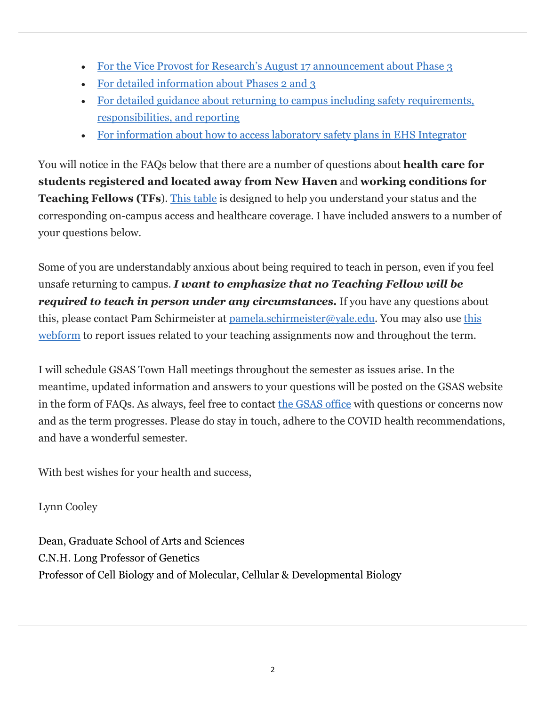- For the Vice Provost for Research's August 17 announcement about Phase 3
- For detailed information about Phases 2 and 3
- For detailed guidance about returning to campus including safety requirements, responsibilities, and reporting
- For information about how to access laboratory safety plans in EHS Integrator

You will notice in the FAQs below that there are a number of questions about **health care for students registered and located away from New Haven** and **working conditions for Teaching Fellows (TFs**). This table is designed to help you understand your status and the corresponding on-campus access and healthcare coverage. I have included answers to a number of your questions below.

Some of you are understandably anxious about being required to teach in person, even if you feel unsafe returning to campus. *I want to emphasize that no Teaching Fellow will be required to teach in person under any circumstances.* If you have any questions about this, please contact Pam Schirmeister at pamela.schirmeister@yale.edu. You may also use this webform to report issues related to your teaching assignments now and throughout the term.

I will schedule GSAS Town Hall meetings throughout the semester as issues arise. In the meantime, updated information and answers to your questions will be posted on the GSAS website in the form of FAQs. As always, feel free to contact the GSAS office with questions or concerns now and as the term progresses. Please do stay in touch, adhere to the COVID health recommendations, and have a wonderful semester.

With best wishes for your health and success,

Lynn Cooley

Dean, Graduate School of Arts and Sciences C.N.H. Long Professor of Genetics Professor of Cell Biology and of Molecular, Cellular & Developmental Biology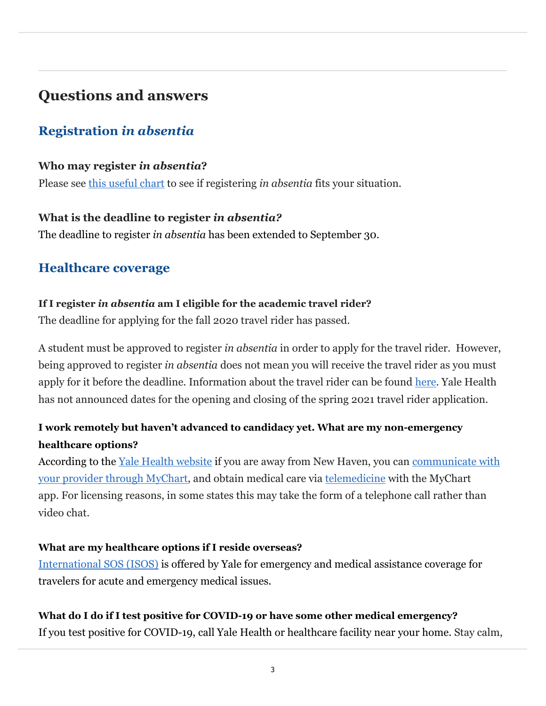# **Questions and answers**

# **Registration** *in absentia*

#### **Who may register** *in absentia***?**

Please see this useful chart to see if registering *in absentia* fits your situation.

### **What is the deadline to register** *in absentia?*

The deadline to register *in absentia* has been extended to September 30.

## **Healthcare coverage**

### **If I register** *in absentia* **am I eligible for the academic travel rider?**

The deadline for applying for the fall 2020 travel rider has passed.

A student must be approved to register *in absentia* in order to apply for the travel rider. However, being approved to register *in absentia* does not mean you will receive the travel rider as you must apply for it before the deadline. Information about the travel rider can be found here. Yale Health has not announced dates for the opening and closing of the spring 2021 travel rider application.

## **I work remotely but haven't advanced to candidacy yet. What are my non-emergency healthcare options?**

According to the <u>Yale Health website</u> if you are away from New Haven, you can communicate with your provider through MyChart, and obtain medical care via telemedicine with the MyChart app. For licensing reasons, in some states this may take the form of a telephone call rather than video chat.

## **What are my healthcare options if I reside overseas?**

International SOS (ISOS) is offered by Yale for emergency and medical assistance coverage for travelers for acute and emergency medical issues.

## **What do I do if I test positive for COVID-19 or have some other medical emergency?**

If you test positive for COVID-19, call Yale Health or healthcare facility near your home. Stay calm,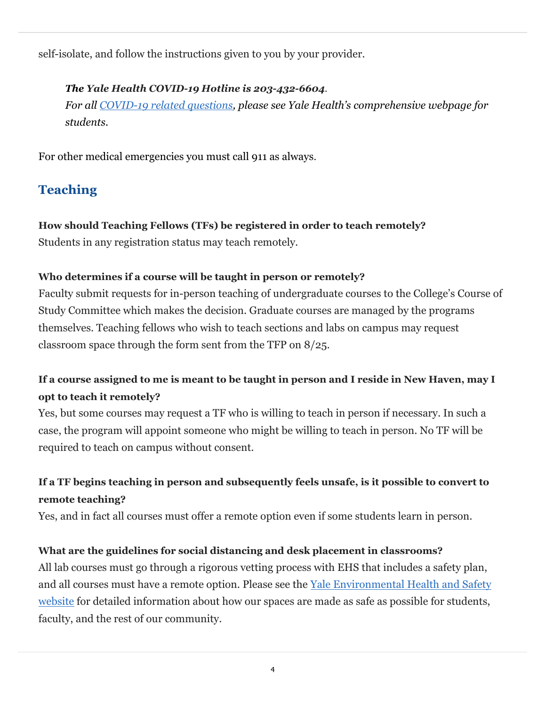self-isolate, and follow the instructions given to you by your provider.

#### *The Yale Health COVID-19 Hotline is 203-432-6604.*

*For all COVID-19 related questions, please see Yale Health's comprehensive webpage for students.*

For other medical emergencies you must call 911 as always.

# **Teaching**

### **How should Teaching Fellows (TFs) be registered in order to teach remotely?**

Students in any registration status may teach remotely.

#### **Who determines if a course will be taught in person or remotely?**

Faculty submit requests for in-person teaching of undergraduate courses to the College's Course of Study Committee which makes the decision. Graduate courses are managed by the programs themselves. Teaching fellows who wish to teach sections and labs on campus may request classroom space through the form sent from the TFP on 8/25.

## **If a course assigned to me is meant to be taught in person and I reside in New Haven, may I opt to teach it remotely?**

Yes, but some courses may request a TF who is willing to teach in person if necessary. In such a case, the program will appoint someone who might be willing to teach in person. No TF will be required to teach on campus without consent.

## **If a TF begins teaching in person and subsequently feels unsafe, is it possible to convert to remote teaching?**

Yes, and in fact all courses must offer a remote option even if some students learn in person.

#### **What are the guidelines for social distancing and desk placement in classrooms?**

All lab courses must go through a rigorous vetting process with EHS that includes a safety plan, and all courses must have a remote option. Please see the Yale Environmental Health and Safety website for detailed information about how our spaces are made as safe as possible for students, faculty, and the rest of our community.